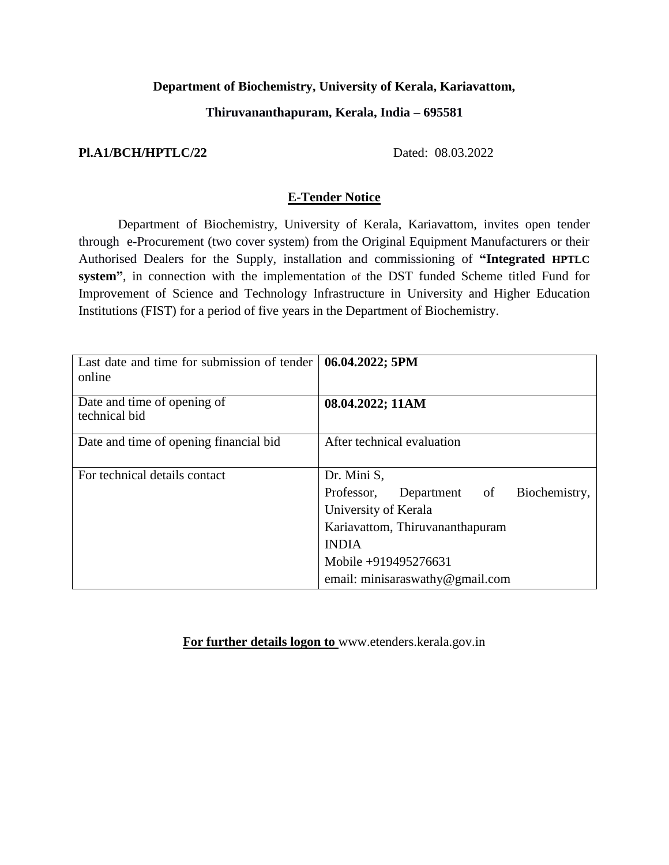# **Department of Biochemistry, University of Kerala, Kariavattom,**

## **Thiruvananthapuram, Kerala, India – 695581**

# **Pl.A1/BCH/HPTLC/22** Dated: 08.03.2022

# **E-Tender Notice**

Department of Biochemistry, University of Kerala, Kariavattom, invites open tender through e-Procurement (two cover system) from the Original Equipment Manufacturers or their Authorised Dealers for the Supply, installation and commissioning of **"Integrated HPTLC system"**, in connection with the implementation of the DST funded Scheme titled Fund for Improvement of Science and Technology Infrastructure in University and Higher Education Institutions (FIST) for a period of five years in the Department of Biochemistry.

| Last date and time for submission of tender<br>online | 06.04.2022; 5PM                              |
|-------------------------------------------------------|----------------------------------------------|
| Date and time of opening of<br>technical bid          | 08.04.2022; 11AM                             |
| Date and time of opening financial bid                | After technical evaluation                   |
| For technical details contact                         | Dr. Mini S,                                  |
|                                                       | Biochemistry,<br>Professor,<br>Department of |
|                                                       | University of Kerala                         |
|                                                       | Kariavattom, Thiruvananthapuram              |
|                                                       | <b>INDIA</b>                                 |
|                                                       | Mobile +919495276631                         |
|                                                       | email: minisaras wathy @gmail.com            |

**For further details logon to** [www.etenders.kerala.gov.in](http://www.etenders.kerala.gov.in/)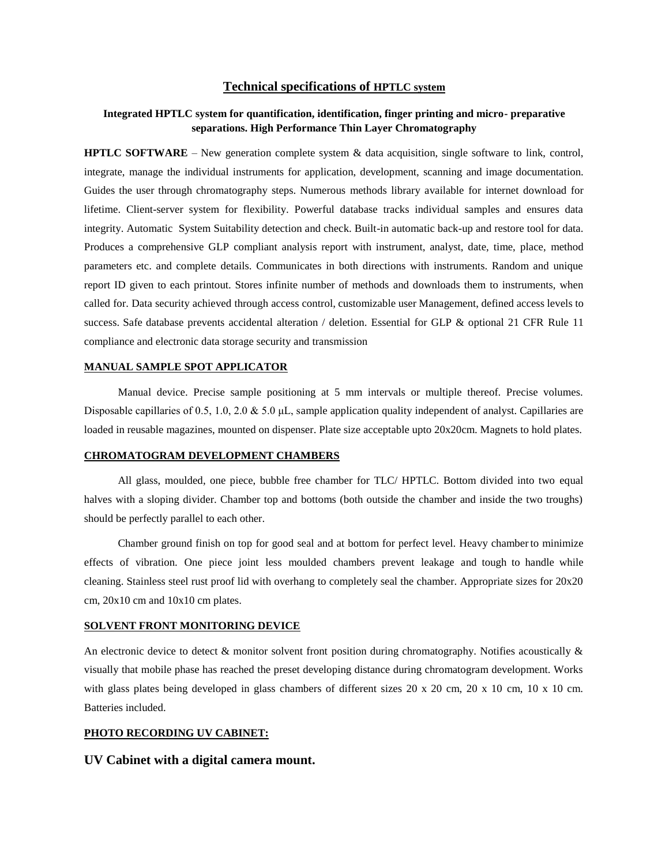### **Technical specifications of HPTLC system**

### **Integrated HPTLC system for quantification, identification, finger printing and micro- preparative separations. High Performance Thin Layer Chromatography**

**HPTLC SOFTWARE** – New generation complete system & data acquisition, single software to link, control, integrate, manage the individual instruments for application, development, scanning and image documentation. Guides the user through chromatography steps. Numerous methods library available for internet download for lifetime. Client-server system for flexibility. Powerful database tracks individual samples and ensures data integrity. Automatic System Suitability detection and check. Built-in automatic back-up and restore tool for data. Produces a comprehensive GLP compliant analysis report with instrument, analyst, date, time, place, method parameters etc. and complete details. Communicates in both directions with instruments. Random and unique report ID given to each printout. Stores infinite number of methods and downloads them to instruments, when called for. Data security achieved through access control, customizable user Management, defined access levels to success. Safe database prevents accidental alteration / deletion. Essential for GLP & optional 21 CFR Rule 11 compliance and electronic data storage security and transmission

### **MANUAL SAMPLE SPOT APPLICATOR**

Manual device. Precise sample positioning at 5 mm intervals or multiple thereof. Precise volumes. Disposable capillaries of 0.5, 1.0, 2.0 & 5.0 μL, sample application quality independent of analyst. Capillaries are loaded in reusable magazines, mounted on dispenser. Plate size acceptable upto 20x20cm. Magnets to hold plates.

#### **CHROMATOGRAM DEVELOPMENT CHAMBERS**

All glass, moulded, one piece, bubble free chamber for TLC/ HPTLC. Bottom divided into two equal halves with a sloping divider. Chamber top and bottoms (both outside the chamber and inside the two troughs) should be perfectly parallel to each other.

Chamber ground finish on top for good seal and at bottom for perfect level. Heavy chamberto minimize effects of vibration. One piece joint less moulded chambers prevent leakage and tough to handle while cleaning. Stainless steel rust proof lid with overhang to completely seal the chamber. Appropriate sizes for 20x20 cm, 20x10 cm and 10x10 cm plates.

#### **SOLVENT FRONT MONITORING DEVICE**

An electronic device to detect  $\&$  monitor solvent front position during chromatography. Notifies acoustically  $\&$ visually that mobile phase has reached the preset developing distance during chromatogram development. Works with glass plates being developed in glass chambers of different sizes 20 x 20 cm, 20 x 10 cm, 10 x 10 cm. Batteries included.

### **PHOTO RECORDING UV CABINET:**

#### **UV Cabinet with a digital camera mount.**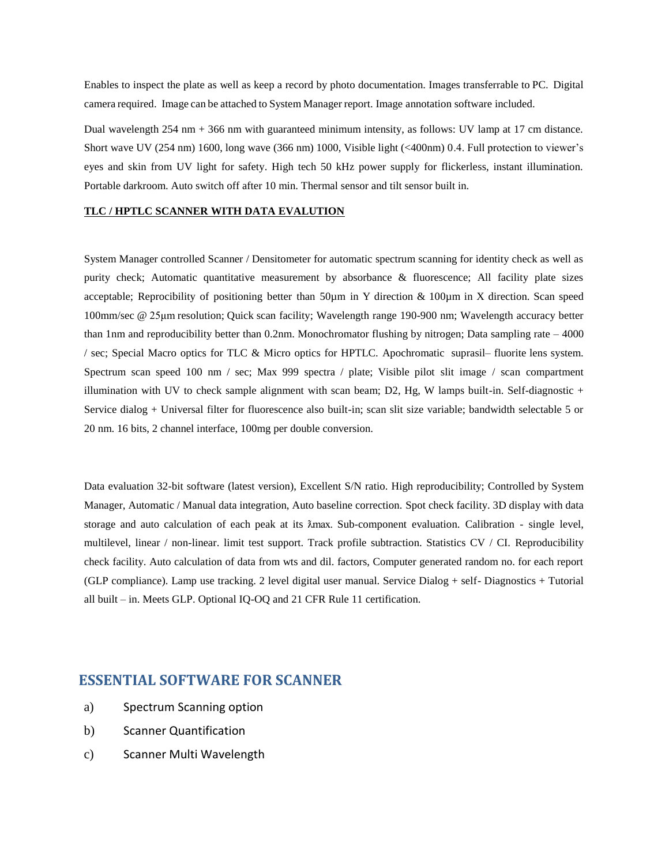Enables to inspect the plate as well as keep a record by photo documentation. Images transferrable to PC. Digital camera required. Image can be attached to System Manager report. Image annotation software included.

Dual wavelength 254 nm + 366 nm with guaranteed minimum intensity, as follows: UV lamp at 17 cm distance. Short wave UV (254 nm) 1600, long wave (366 nm) 1000, Visible light (<400nm) 0.4. Full protection to viewer's eyes and skin from UV light for safety. High tech 50 kHz power supply for flickerless, instant illumination. Portable darkroom. Auto switch off after 10 min. Thermal sensor and tilt sensor built in.

#### **TLC / HPTLC SCANNER WITH DATA EVALUTION**

System Manager controlled Scanner / Densitometer for automatic spectrum scanning for identity check as well as purity check; Automatic quantitative measurement by absorbance & fluorescence; All facility plate sizes acceptable; Reprocibility of positioning better than 50µm in Y direction & 100µm in X direction. Scan speed 100mm/sec @ 25μm resolution; Quick scan facility; Wavelength range 190-900 nm; Wavelength accuracy better than 1nm and reproducibility better than 0.2nm. Monochromator flushing by nitrogen; Data sampling rate – 4000 / sec; Special Macro optics for TLC & Micro optics for HPTLC. Apochromatic suprasil– fluorite lens system. Spectrum scan speed 100 nm / sec; Max 999 spectra / plate; Visible pilot slit image / scan compartment illumination with UV to check sample alignment with scan beam; D2, Hg, W lamps built-in. Self-diagnostic + Service dialog + Universal filter for fluorescence also built-in; scan slit size variable; bandwidth selectable 5 or 20 nm. 16 bits, 2 channel interface, 100mg per double conversion.

Data evaluation 32-bit software (latest version), Excellent S/N ratio. High reproducibility; Controlled by System Manager, Automatic / Manual data integration, Auto baseline correction. Spot check facility. 3D display with data storage and auto calculation of each peak at its  $\lambda$ max. Sub-component evaluation. Calibration - single level, multilevel, linear / non-linear. limit test support. Track profile subtraction. Statistics CV / CI. Reproducibility check facility. Auto calculation of data from wts and dil. factors, Computer generated random no. for each report (GLP compliance). Lamp use tracking. 2 level digital user manual. Service Dialog + self- Diagnostics + Tutorial all built – in. Meets GLP. Optional IQ-OQ and 21 CFR Rule 11 certification.

# **ESSENTIAL SOFTWARE FOR SCANNER**

- a) Spectrum Scanning option
- b) Scanner Quantification
- c) Scanner Multi Wavelength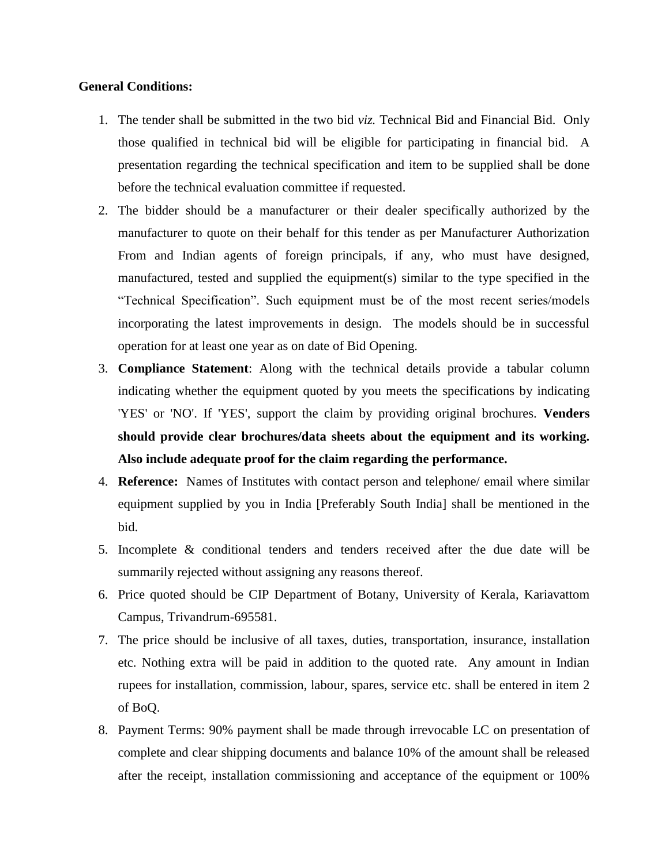## **General Conditions:**

- 1. The tender shall be submitted in the two bid *viz.* Technical Bid and Financial Bid. Only those qualified in technical bid will be eligible for participating in financial bid. A presentation regarding the technical specification and item to be supplied shall be done before the technical evaluation committee if requested.
- 2. The bidder should be a manufacturer or their dealer specifically authorized by the manufacturer to quote on their behalf for this tender as per Manufacturer Authorization From and Indian agents of foreign principals, if any, who must have designed, manufactured, tested and supplied the equipment(s) similar to the type specified in the "Technical Specification". Such equipment must be of the most recent series/models incorporating the latest improvements in design. The models should be in successful operation for at least one year as on date of Bid Opening.
- 3. **Compliance Statement**: Along with the technical details provide a tabular column indicating whether the equipment quoted by you meets the specifications by indicating 'YES' or 'NO'. If 'YES', support the claim by providing original brochures. **Venders should provide clear brochures/data sheets about the equipment and its working. Also include adequate proof for the claim regarding the performance.**
- 4. **Reference:** Names of Institutes with contact person and telephone/ email where similar equipment supplied by you in India [Preferably South India] shall be mentioned in the bid.
- 5. Incomplete & conditional tenders and tenders received after the due date will be summarily rejected without assigning any reasons thereof.
- 6. Price quoted should be CIP Department of Botany, University of Kerala, Kariavattom Campus, Trivandrum-695581.
- 7. The price should be inclusive of all taxes, duties, transportation, insurance, installation etc. Nothing extra will be paid in addition to the quoted rate. Any amount in Indian rupees for installation, commission, labour, spares, service etc. shall be entered in item 2 of BoQ.
- 8. Payment Terms: 90% payment shall be made through irrevocable LC on presentation of complete and clear shipping documents and balance 10% of the amount shall be released after the receipt, installation commissioning and acceptance of the equipment or 100%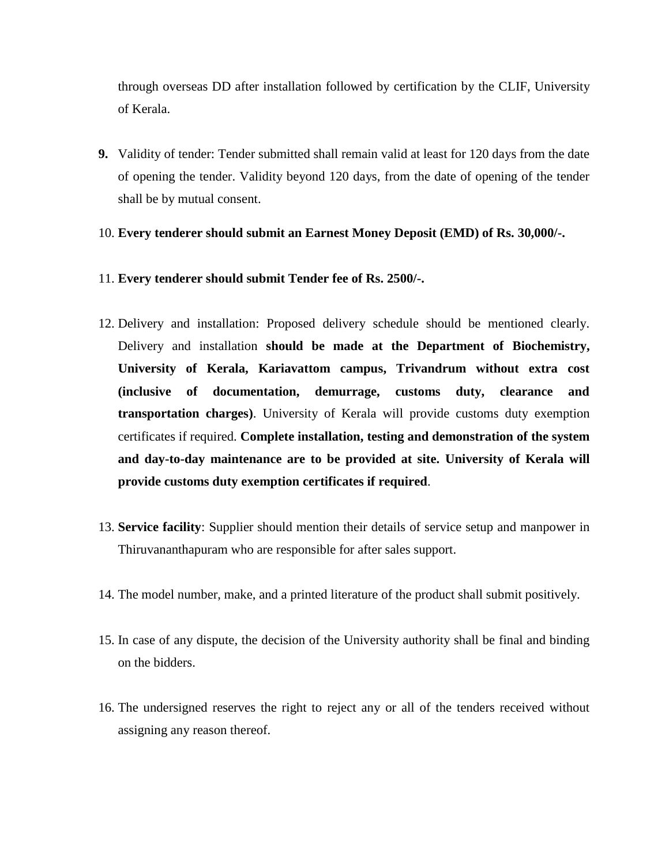through overseas DD after installation followed by certification by the CLIF, University of Kerala.

**9.** Validity of tender: Tender submitted shall remain valid at least for 120 days from the date of opening the tender. Validity beyond 120 days, from the date of opening of the tender shall be by mutual consent.

### 10. **Every tenderer should submit an Earnest Money Deposit (EMD) of Rs. 30,000/-.**

### 11. **Every tenderer should submit Tender fee of Rs. 2500/-.**

- 12. Delivery and installation: Proposed delivery schedule should be mentioned clearly. Delivery and installation **should be made at the Department of Biochemistry, University of Kerala, Kariavattom campus, Trivandrum without extra cost (inclusive of documentation, demurrage, customs duty, clearance and transportation charges)**. University of Kerala will provide customs duty exemption certificates if required. **Complete installation, testing and demonstration of the system and day-to-day maintenance are to be provided at site. University of Kerala will provide customs duty exemption certificates if required**.
- 13. **Service facility**: Supplier should mention their details of service setup and manpower in Thiruvananthapuram who are responsible for after sales support.
- 14. The model number, make, and a printed literature of the product shall submit positively.
- 15. In case of any dispute, the decision of the University authority shall be final and binding on the bidders.
- 16. The undersigned reserves the right to reject any or all of the tenders received without assigning any reason thereof.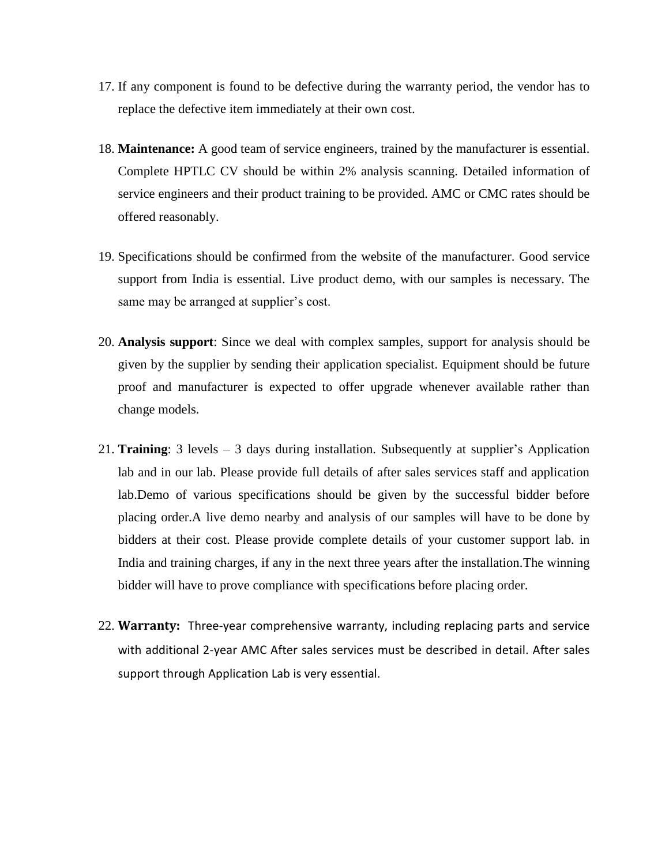- 17. If any component is found to be defective during the warranty period, the vendor has to replace the defective item immediately at their own cost.
- 18. **Maintenance:** A good team of service engineers, trained by the manufacturer is essential. Complete HPTLC CV should be within 2% analysis scanning. Detailed information of service engineers and their product training to be provided. AMC or CMC rates should be offered reasonably.
- 19. Specifications should be confirmed from the website of the manufacturer. Good service support from India is essential. Live product demo, with our samples is necessary. The same may be arranged at supplier's cost.
- 20. **Analysis support**: Since we deal with complex samples, support for analysis should be given by the supplier by sending their application specialist. Equipment should be future proof and manufacturer is expected to offer upgrade whenever available rather than change models.
- 21. **Training**: 3 levels 3 days during installation. Subsequently at supplier's Application lab and in our lab. Please provide full details of after sales services staff and application lab.Demo of various specifications should be given by the successful bidder before placing order.A live demo nearby and analysis of our samples will have to be done by bidders at their cost. Please provide complete details of your customer support lab. in India and training charges, if any in the next three years after the installation.The winning bidder will have to prove compliance with specifications before placing order.
- 22. **Warranty:** Three-year comprehensive warranty, including replacing parts and service with additional 2-year AMC After sales services must be described in detail. After sales support through Application Lab is very essential.